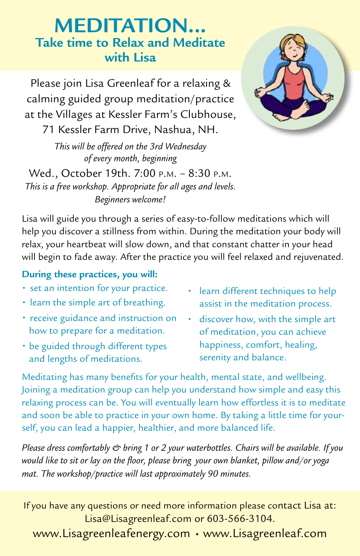## **Meditation... Take time to Relax and Meditate with Lisa**

Please join Lisa Greenleaf for a relaxing & calming guided group meditation/practice at the Villages at Kessler Farm's Clubhouse,

71 Kessler Farm Drive, Nashua, NH.

*This will be offered on the 3rd Wednesday of every month, beginning* 

Wed., October 19th. 7:00 p.m. – 8:30 p.m. *This is a free workshop. Appropriate for all ages and levels. Beginners welcome!*



## **During these practices, you will:**

- set an intention for your practice.
- learn the simple art of breathing.
- receive guidance and instruction on how to prepare for a meditation.
- be guided through different types and lengths of meditations.
- learn different techniques to help assist in the meditation process.
- discover how, with the simple art of meditation, you can achieve happiness, comfort, healing, serenity and balance.

Meditating has many benefits for your health, mental state, and wellbeing. Joining a meditation group can help you understand how simple and easy this relaxing process can be. You will eventually learn how effortless it is to meditate and soon be able to practice in your own home. By taking a little time for yourself, you can lead a happier, healthier, and more balanced life.

*Please dress comfortably & bring 1 or 2 your waterbottles. Chairs will be available. If you would like to sit or lay on the floor, please bring your own blanket, pillow and/or yoga mat. The workshop/practice will last approximately 90 minutes.*

If you have any questions or need more information please contact Lisa at: Lisa@Lisagreenleaf.com or 603-566-3104.

www.Lisagreenleafenergy.com • www.Lisagreenleaf.com